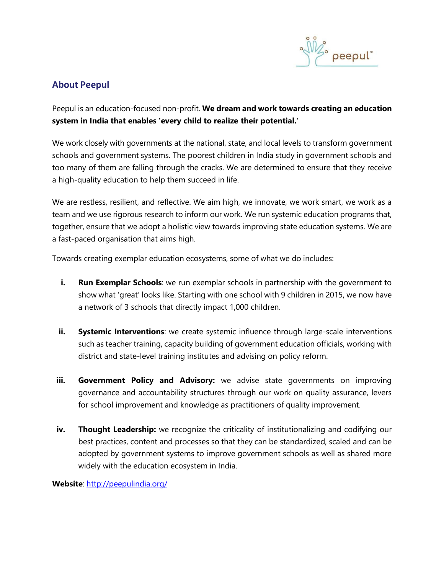

# **About Peepul**

Peepul is an education-focused non-profit. **We dream and work towards creating an education system in India that enables 'every child to realize their potential.'**

We work closely with governments at the national, state, and local levels to transform government schools and government systems. The poorest children in India study in government schools and too many of them are falling through the cracks. We are determined to ensure that they receive a high-quality education to help them succeed in life.

We are restless, resilient, and reflective. We aim high, we innovate, we work smart, we work as a team and we use rigorous research to inform our work. We run systemic education programs that, together, ensure that we adopt a holistic view towards improving state education systems. We are a fast-paced organisation that aims high.

Towards creating exemplar education ecosystems, some of what we do includes:

- **i.** Run Exemplar Schools: we run exemplar schools in partnership with the government to show what 'great' looks like. Starting with one school with 9 children in 2015, we now have a network of 3 schools that directly impact 1,000 children.
- **ii.** Systemic Interventions: we create systemic influence through large-scale interventions such as teacher training, capacity building of government education officials, working with district and state-level training institutes and advising on policy reform.
- **iii. Government Policy and Advisory:** we advise state governments on improving governance and accountability structures through our work on quality assurance, levers for school improvement and knowledge as practitioners of quality improvement.
- **iv. Thought Leadership:** we recognize the criticality of institutionalizing and codifying our best practices, content and processes so that they can be standardized, scaled and can be adopted by government systems to improve government schools as well as shared more widely with the education ecosystem in India.

**Website**: <http://peepulindia.org/>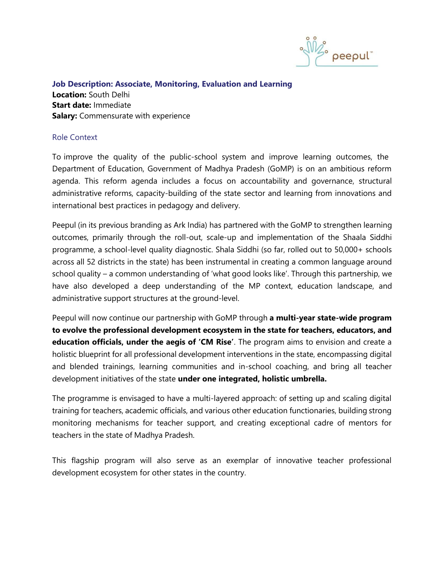

## **Job Description: Associate, Monitoring, Evaluation and Learning Location:** South Delhi **Start date:** Immediate **Salary:** Commensurate with experience

## Role Context

To improve the quality of the public-school system and improve learning outcomes, the Department of Education, Government of Madhya Pradesh (GoMP) is on an ambitious reform agenda. This reform agenda includes a focus on accountability and governance, structural administrative reforms, capacity-building of the state sector and learning from innovations and international best practices in pedagogy and delivery.

Peepul (in its previous branding as Ark India) has partnered with the GoMP to strengthen learning outcomes, primarily through the roll-out, scale-up and implementation of the Shaala Siddhi programme, a school-level quality diagnostic. Shala Siddhi (so far, rolled out to 50,000+ schools across all 52 districts in the state) has been instrumental in creating a common language around school quality – a common understanding of 'what good looks like'. Through this partnership, we have also developed a deep understanding of the MP context, education landscape, and administrative support structures at the ground-level.

Peepul will now continue our partnership with GoMP through **a multi-year state-wide program to evolve the professional development ecosystem in the state for teachers, educators, and education officials, under the aegis of 'CM Rise'**. The program aims to envision and create a holistic blueprint for all professional development interventions in the state, encompassing digital and blended trainings, learning communities and in-school coaching, and bring all teacher development initiatives of the state **under one integrated, holistic umbrella.**

The programme is envisaged to have a multi-layered approach: of setting up and scaling digital training for teachers, academic officials, and various other education functionaries, building strong monitoring mechanisms for teacher support, and creating exceptional cadre of mentors for teachers in the state of Madhya Pradesh.

This flagship program will also serve as an exemplar of innovative teacher professional development ecosystem for other states in the country.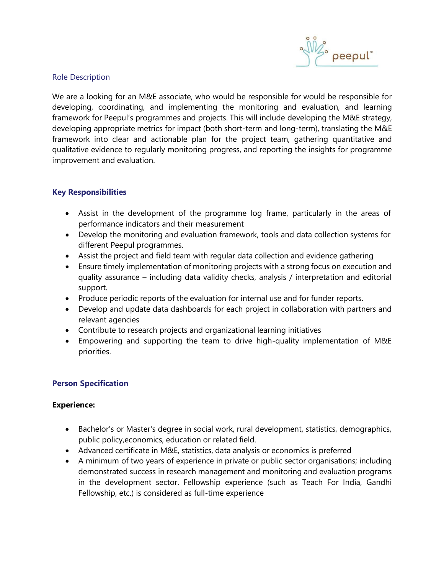

## Role Description

We are a looking for an M&E associate, who would be responsible for would be responsible for developing, coordinating, and implementing the monitoring and evaluation, and learning framework for Peepul's programmes and projects. This will include developing the M&E strategy, developing appropriate metrics for impact (both short-term and long-term), translating the M&E framework into clear and actionable plan for the project team, gathering quantitative and qualitative evidence to regularly monitoring progress, and reporting the insights for programme improvement and evaluation.

## **Key Responsibilities**

- Assist in the development of the programme log frame, particularly in the areas of performance indicators and their measurement
- Develop the monitoring and evaluation framework, tools and data collection systems for different Peepul programmes.
- Assist the project and field team with regular data collection and evidence gathering
- Ensure timely implementation of monitoring projects with a strong focus on execution and quality assurance – including data validity checks, analysis / interpretation and editorial support.
- Produce periodic reports of the evaluation for internal use and for funder reports.
- Develop and update data dashboards for each project in collaboration with partners and relevant agencies
- Contribute to research projects and organizational learning initiatives
- Empowering and supporting the team to drive high-quality implementation of M&E priorities.

## **Person Specification**

## **Experience:**

- Bachelor's or Master's degree in social work, rural development, statistics, demographics, public policy,economics, education or related field.
- Advanced certificate in M&E, statistics, data analysis or economics is preferred
- A minimum of two years of experience in private or public sector organisations; including demonstrated success in research management and monitoring and evaluation programs in the development sector. Fellowship experience (such as Teach For India, Gandhi Fellowship, etc.) is considered as full-time experience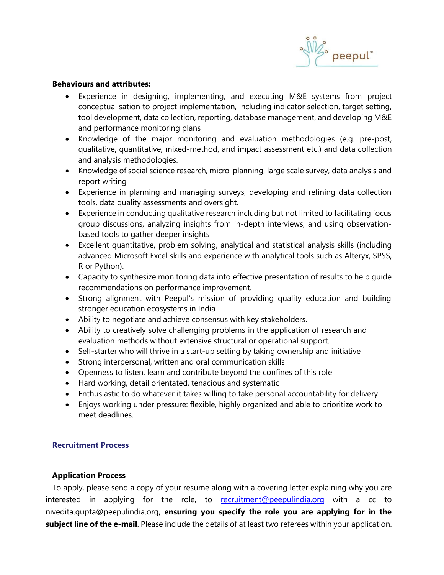

## **Behaviours and attributes:**

- Experience in designing, implementing, and executing M&E systems from project conceptualisation to project implementation, including indicator selection, target setting, tool development, data collection, reporting, database management, and developing M&E and performance monitoring plans
- Knowledge of the major monitoring and evaluation methodologies (e.g. pre-post, qualitative, quantitative, mixed-method, and impact assessment etc.) and data collection and analysis methodologies.
- Knowledge of social science research, micro-planning, large scale survey, data analysis and report writing
- Experience in planning and managing surveys, developing and refining data collection tools, data quality assessments and oversight.
- Experience in conducting qualitative research including but not limited to facilitating focus group discussions, analyzing insights from in-depth interviews, and using observationbased tools to gather deeper insights
- Excellent quantitative, problem solving, analytical and statistical analysis skills (including advanced Microsoft Excel skills and experience with analytical tools such as Alteryx, SPSS, R or Python).
- Capacity to synthesize monitoring data into effective presentation of results to help guide recommendations on performance improvement.
- Strong alignment with Peepul's mission of providing quality education and building stronger education ecosystems in India
- Ability to negotiate and achieve consensus with key stakeholders.
- Ability to creatively solve challenging problems in the application of research and evaluation methods without extensive structural or operational support.
- Self-starter who will thrive in a start-up setting by taking ownership and initiative
- Strong interpersonal, written and oral communication skills
- Openness to listen, learn and contribute beyond the confines of this role
- Hard working, detail orientated, tenacious and systematic
- Enthusiastic to do whatever it takes willing to take personal accountability for delivery
- Enjoys working under pressure: flexible, highly organized and able to prioritize work to meet deadlines.

## **Recruitment Process**

## **Application Process**

 To apply, please send a copy of your resume along with a covering letter explaining why you are interested in applying for the role, to [recruitment@peepulindia.org](mailto:recruitment@peepulindia.org) with a cc to [nivedita.gupta@peepulindia.org,](mailto:anoop.aravind@peepulindia.org) **ensuring you specify the role you are applying for in the subject line of the e-mail**. Please include the details of at least two referees within your application.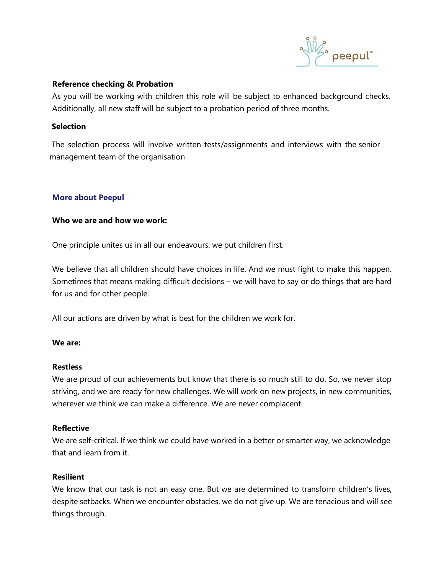

#### **Reference checking & Probation**

As you will be working with children this role will be subject to enhanced background checks. Additionally, all new staff will be subject to a probation period of three months.

## **Selection**

The selection process will involve written tests/assignments and interviews with the senior management team of the organisation

#### **More about Peepul**

#### **Who we are and how we work:**

One principle unites us in all our endeavours: we put children first.

We believe that all children should have choices in life. And we must fight to make this happen. Sometimes that means making difficult decisions – we will have to say or do things that are hard for us and for other people.

All our actions are driven by what is best for the children we work for.

#### **We are:**

#### **Restless**

We are proud of our achievements but know that there is so much still to do. So, we never stop striving, and we are ready for new challenges. We will work on new projects, in new communities, wherever we think we can make a difference. We are never complacent.

## **Reflective**

We are self-critical. If we think we could have worked in a better or smarter way, we acknowledge that and learn from it.

## **Resilient**

We know that our task is not an easy one. But we are determined to transform children's lives, despite setbacks. When we encounter obstacles, we do not give up. We are tenacious and will see things through.